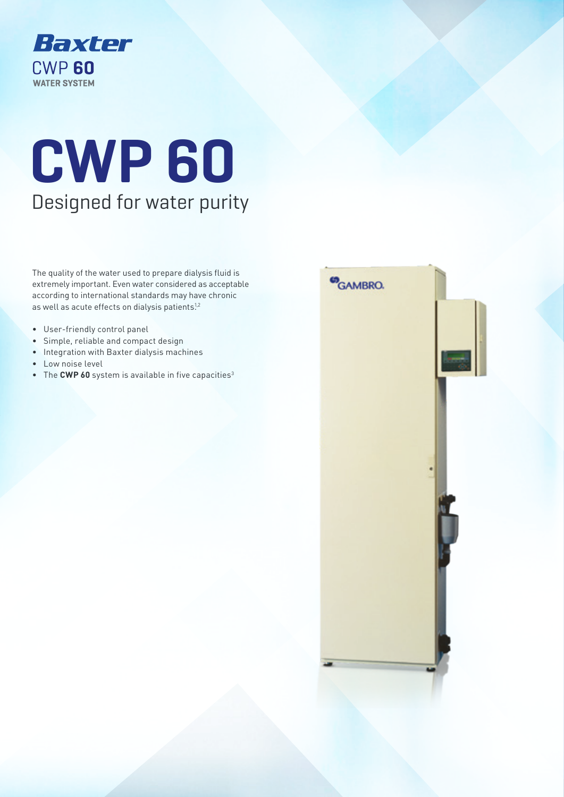

# **CWP 60** Designed for water purity

The quality of the water used to prepare dialysis fluid is extremely important. Even water considered as acceptable according to international standards may have chronic as well as acute effects on dialysis patients!<sup>2</sup>

- User-friendly control panel
- Simple, reliable and compact design
- Integration with Baxter dialysis machines
- Low noise level
- The CWP 60 system is available in five capacities<sup>3</sup>